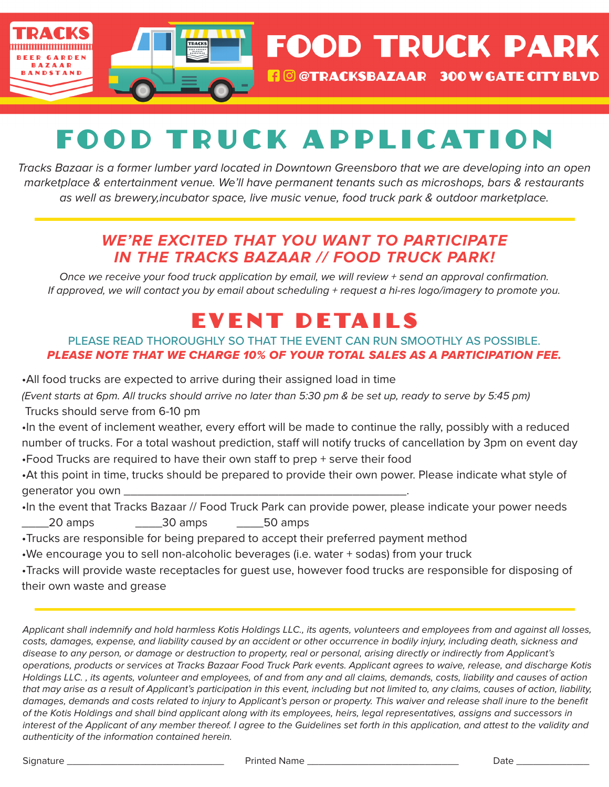

**FOOD TRUCK PARK** 

## **FO @TRACKSBAZAAR 300 W GATE CITY BLVD**

# FO O D T R U C K A PPL I CAT I O N

*Tracks Bazaar is a former lumber yard located in Downtown Greensboro that we are developing into an open marketplace & entertainment venue. We'll have permanent tenants such as microshops, bars & restaurants as well as brewery,incubator space, live music venue, food truck park & outdoor marketplace.*

### *WE'RE EXCITED THAT YOU WANT TO PARTICIPATE IN THE TRACKS BAZAAR // FOOD TRUCK PARK!*

*Once we receive your food truck application by email, we will review + send an approval confirmation. If approved, we will contact you by email about scheduling + request a hi-res logo/imagery to promote you.*

## EVENT DETAILS

### PLEASE READ THOROUGHLY SO THAT THE EVENT CAN RUN SMOOTHLY AS POSSIBLE. *PLEASE NOTE THAT WE CHARGE 10% OF YOUR TOTAL SALES AS A PARTICIPATION FEE.*

•All food trucks are expected to arrive during their assigned load in time

*(Event starts at 6pm. All trucks should arrive no later than 5:30 pm & be set up, ready to serve by 5:45 pm)* Trucks should serve from 6-10 pm

•In the event of inclement weather, every effort will be made to continue the rally, possibly with a reduced number of trucks. For a total washout prediction, staff will notify trucks of cancellation by 3pm on event day •Food Trucks are required to have their own staff to prep + serve their food

•At this point in time, trucks should be prepared to provide their own power. Please indicate what style of generator you own \_\_\_\_\_\_\_\_\_\_\_\_\_\_\_\_\_\_\_\_\_\_\_\_\_\_\_\_\_\_\_\_\_\_\_\_\_\_\_\_\_\_.

•In the event that Tracks Bazaar // Food Truck Park can provide power, please indicate your power needs \_\_\_\_20 amps \_\_\_\_30 amps \_\_\_\_50 amps

•Trucks are responsible for being prepared to accept their preferred payment method

•We encourage you to sell non-alcoholic beverages (i.e. water + sodas) from your truck

•Tracks will provide waste receptacles for guest use, however food trucks are responsible for disposing of their own waste and grease

*Applicant shall indemnify and hold harmless Kotis Holdings LLC., its agents, volunteers and employees from and against all losses, costs, damages, expense, and liability caused by an accident or other occurrence in bodily injury, including death, sickness and disease to any person, or damage or destruction to property, real or personal, arising directly or indirectly from Applicant's operations, products or services at Tracks Bazaar Food Truck Park events. Applicant agrees to waive, release, and discharge Kotis Holdings LLC. , its agents, volunteer and employees, of and from any and all claims, demands, costs, liability and causes of action that may arise as a result of Applicant's participation in this event, including but not limited to, any claims, causes of action, liability,*  damages, demands and costs related to injury to Applicant's person or property. This waiver and release shall inure to the benefit *of the Kotis Holdings and shall bind applicant along with its employees, heirs, legal representatives, assigns and successors in*  interest of the Applicant of any member thereof. I agree to the Guidelines set forth in this application, and attest to the validity and *authenticity of the information contained herein.* 

Signature \_\_\_\_\_\_\_\_\_\_\_\_\_\_\_\_\_\_\_\_\_\_\_\_\_\_\_\_ Printed Name \_\_\_\_\_\_\_\_\_\_\_\_\_\_\_\_\_\_\_\_\_\_\_\_\_\_\_ Date \_\_\_\_\_\_\_\_\_\_\_\_\_